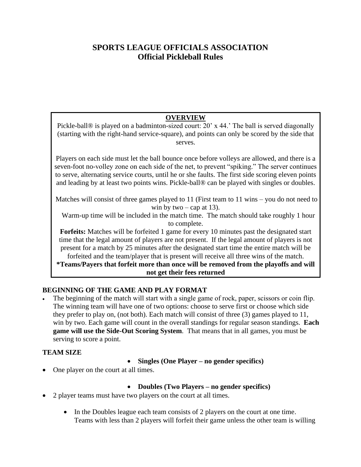# **SPORTS LEAGUE OFFICIALS ASSOCIATION Official Pickleball Rules**

# **OVERVIEW**

Pickle-ball® is played on a badminton-sized court: 20' x 44.' The ball is served diagonally (starting with the right-hand service-square), and points can only be scored by the side that serves.

Players on each side must let the ball bounce once before volleys are allowed, and there is a seven-foot no-volley zone on each side of the net, to prevent "spiking." The server continues to serve, alternating service courts, until he or she faults. The first side scoring eleven points and leading by at least two points wins. Pickle-ball® can be played with singles or doubles.

Matches will consist of three games played to 11 (First team to 11 wins – you do not need to win by two – cap at 13).

 Warm-up time will be included in the match time. The match should take roughly 1 hour to complete.

**Forfeits:** Matches will be forfeited 1 game for every 10 minutes past the designated start time that the legal amount of players are not present. If the legal amount of players is not present for a match by 25 minutes after the designated start time the entire match will be forfeited and the team/player that is present will receive all three wins of the match.

**\*Teams/Payers that forfeit more than once will be removed from the playoffs and will not get their fees returned**

# **BEGINNING OF THE GAME AND PLAY FORMAT**

The beginning of the match will start with a single game of rock, paper, scissors or coin flip. The winning team will have one of two options: choose to serve first or choose which side they prefer to play on, (not both). Each match will consist of three (3) games played to 11, win by two. Each game will count in the overall standings for regular season standings. **Each game will use the Side-Out Scoring System**. That means that in all games, you must be serving to score a point.

# **TEAM SIZE**

• **Singles (One Player – no gender specifics)**

• One player on the court at all times.

• **Doubles (Two Players – no gender specifics)**

- 2 player teams must have two players on the court at all times.
	- In the Doubles league each team consists of 2 players on the court at one time. Teams with less than 2 players will forfeit their game unless the other team is willing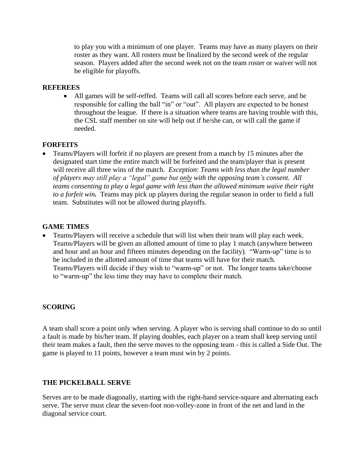to play you with a minimum of one player. Teams may have as many players on their roster as they want. All rosters must be finalized by the second week of the regular season. Players added after the second week not on the team roster or waiver will not be eligible for playoffs.

## **REFEREES**

• All games will be self-reffed. Teams will call all scores before each serve, and be responsible for calling the ball "in" or "out". All players are expected to be honest throughout the league. If there is a situation where teams are having trouble with this, the CSL staff member on site will help out if he/she can, or will call the game if needed.

## **FORFEITS**

• Teams/Players will forfeit if no players are present from a match by 15 minutes after the designated start time the entire match will be forfeited and the team/player that is present will receive all three wins of the match. *Exception*: *Teams with less than the legal number of players may still play a "legal" game but only with the opposing team's consent. All teams consenting to play a legal game with less than the allowed minimum waive their right to a forfeit win.*Teams may pick up players during the regular season in order to field a full team. Substitutes will not be allowed during playoffs.

## **GAME TIMES**

• Teams/Players will receive a schedule that will list when their team will play each week. Teams/Players will be given an allotted amount of time to play 1 match (anywhere between and hour and an hour and fifteen minutes depending on the facility). "Warm-up" time is to be included in the allotted amount of time that teams will have for their match. Teams/Players will decide if they wish to "warm-up" or not. The longer teams take/choose to "warm-up" the less time they may have to complete their match.

# **SCORING**

A team shall score a point only when serving. A player who is serving shall continue to do so until a fault is made by his/her team. If playing doubles, each player on a team shall keep serving until their team makes a fault, then the serve moves to the opposing team - this is called a Side Out. The game is played to 11 points, however a team must win by 2 points.

# **THE PICKELBALL SERVE**

Serves are to be made diagonally, starting with the right-hand service-square and alternating each serve. The serve must clear the seven-foot non-volley-zone in front of the net and land in the diagonal service court.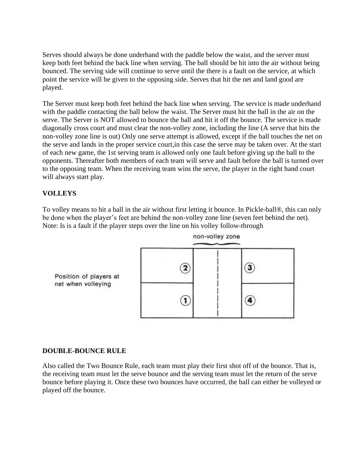Serves should always be done underhand with the paddle below the waist, and the server must keep both feet behind the back line when serving. The ball should be hit into the air without being bounced. The serving side will continue to serve until the there is a fault on the service, at which point the service will be given to the opposing side. Serves that hit the net and land good are played.

The Server must keep both feet behind the back line when serving. The service is made underhand with the paddle contacting the ball below the waist. The Server must hit the ball in the air on the serve. The Server is NOT allowed to bounce the ball and hit it off the bounce. The service is made diagonally cross court and must clear the non-volley zone, including the line (A serve that hits the non-volley zone line is out) Only one serve attempt is allowed, except if the ball touches the net on the serve and lands in the proper service court,in this case the serve may be taken over. At the start of each new game, the 1st serving team is allowed only one fault before giving up the ball to the opponents. Thereafter both members of each team will serve and fault before the ball is turned over to the opposing team. When the receiving team wins the serve, the player in the right hand court will always start play.

# **VOLLEYS**

To volley means to hit a ball in the air without first letting it bounce. In Pickle-ball®, this can only be done when the player's feet are behind the non-volley zone line (seven feet behind the net). Note: Is is a fault if the player steps over the line on his volley follow-through



# **DOUBLE-BOUNCE RULE**

Also called the Two Bounce Rule, each team must play their first shot off of the bounce. That is, the receiving team must let the serve bounce and the serving team must let the return of the serve bounce before playing it. Once these two bounces have occurred, the ball can either be volleyed or played off the bounce.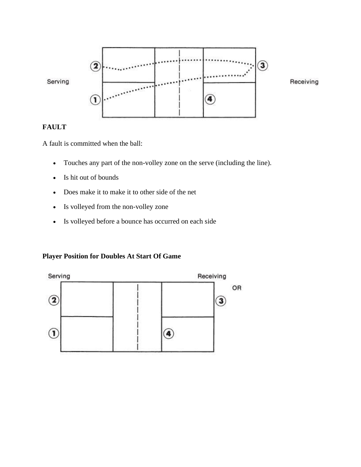

# **FAULT**

A fault is committed when the ball:

- Touches any part of the non-volley zone on the serve (including the line).
- Is hit out of bounds
- Does make it to make it to other side of the net
- Is volleyed from the non-volley zone
- Is volleyed before a bounce has occurred on each side

# **Player Position for Doubles At Start Of Game**

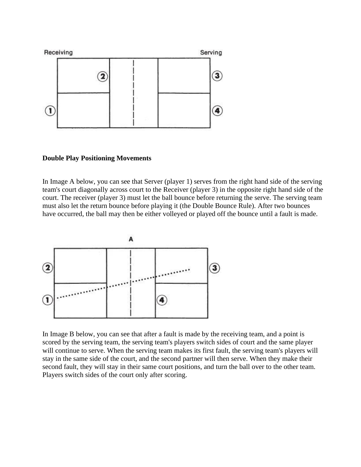

#### **Double Play Positioning Movements**

In Image A below, you can see that Server (player 1) serves from the right hand side of the serving team's court diagonally across court to the Receiver (player 3) in the opposite right hand side of the court. The receiver (player 3) must let the ball bounce before returning the serve. The serving team must also let the return bounce before playing it (the Double Bounce Rule). After two bounces have occurred, the ball may then be either volleyed or played off the bounce until a fault is made.



In Image B below, you can see that after a fault is made by the receiving team, and a point is scored by the serving team, the serving team's players switch sides of court and the same player will continue to serve. When the serving team makes its first fault, the serving team's players will stay in the same side of the court, and the second partner will then serve. When they make their second fault, they will stay in their same court positions, and turn the ball over to the other team. Players switch sides of the court only after scoring.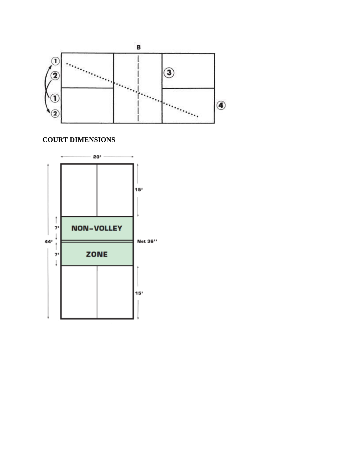

# **COURT DIMENSIONS**

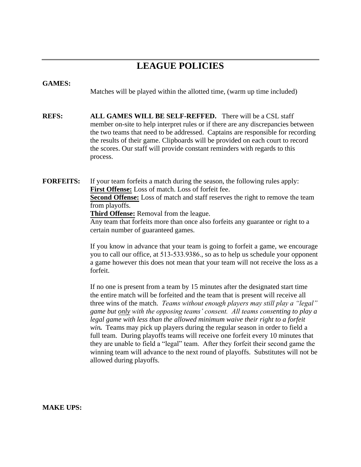# **LEAGUE POLICIES**

## **GAMES:**

Matches will be played within the allotted time, (warm up time included)

**REFS: ALL GAMES WILL BE SELF-REFFED.** There will be a CSL staff member on-site to help interpret rules or if there are any discrepancies between the two teams that need to be addressed. Captains are responsible for recording the results of their game. Clipboards will be provided on each court to record the scores. Our staff will provide constant reminders with regards to this process.

**FORFEITS:** If your team forfeits a match during the season, the following rules apply: **First Offense:** Loss of match. Loss of forfeit fee. **Second Offense:** Loss of match and staff reserves the right to remove the team from playoffs.

**Third Offense:** Removal from the league.

Any team that forfeits more than once also forfeits any guarantee or right to a certain number of guaranteed games.

If you know in advance that your team is going to forfeit a game, we encourage you to call our office, at 513-533.9386., so as to help us schedule your opponent a game however this does not mean that your team will not receive the loss as a forfeit.

If no one is present from a team by 15 minutes after the designated start time the entire match will be forfeited and the team that is present will receive all three wins of the match. *Teams without enough players may still play a "legal" game but only with the opposing teams' consent. All teams consenting to play a*  legal game with less than the allowed minimum waive their right to a forfeit *win.* Teams may pick up players during the regular season in order to field a full team. During playoffs teams will receive one forfeit every 10 minutes that they are unable to field a "legal" team. After they forfeit their second game the winning team will advance to the next round of playoffs. Substitutes will not be allowed during playoffs.

**MAKE UPS:**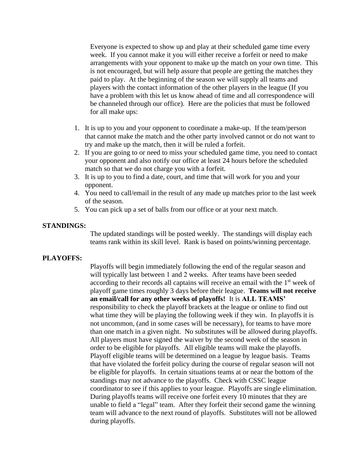Everyone is expected to show up and play at their scheduled game time every week. If you cannot make it you will either receive a forfeit or need to make arrangements with your opponent to make up the match on your own time. This is not encouraged, but will help assure that people are getting the matches they paid to play. At the beginning of the season we will supply all teams and players with the contact information of the other players in the league (If you have a problem with this let us know ahead of time and all correspondence will be channeled through our office). Here are the policies that must be followed for all make ups:

- 1. It is up to you and your opponent to coordinate a make-up. If the team/person that cannot make the match and the other party involved cannot or do not want to try and make up the match, then it will be ruled a forfeit.
- 2. If you are going to or need to miss your scheduled game time, you need to contact your opponent and also notify our office at least 24 hours before the scheduled match so that we do not charge you with a forfeit.
- 3. It is up to you to find a date, court, and time that will work for you and your opponent.
- 4. You need to call/email in the result of any made up matches prior to the last week of the season.
- 5. You can pick up a set of balls from our office or at your next match.

#### **STANDINGS:**

The updated standings will be posted weekly. The standings will display each teams rank within its skill level. Rank is based on points/winning percentage.

#### **PLAYOFFS:**

Playoffs will begin immediately following the end of the regular season and will typically last between 1 and 2 weeks. After teams have been seeded according to their records all captains will receive an email with the 1<sup>st</sup> week of playoff game times roughly 3 days before their league. **Teams will not receive an email/call for any other weeks of playoffs!** It is **ALL TEAMS'**  responsibility to check the playoff brackets at the league or online to find out what time they will be playing the following week if they win. In playoffs it is not uncommon, (and in some cases will be necessary), for teams to have more than one match in a given night. No substitutes will be allowed during playoffs. All players must have signed the waiver by the second week of the season in order to be eligible for playoffs. All eligible teams will make the playoffs. Playoff eligible teams will be determined on a league by league basis. Teams that have violated the forfeit policy during the course of regular season will not be eligible for playoffs. In certain situations teams at or near the bottom of the standings may not advance to the playoffs. Check with CSSC league coordinator to see if this applies to your league. Playoffs are single elimination. During playoffs teams will receive one forfeit every 10 minutes that they are unable to field a "legal" team. After they forfeit their second game the winning team will advance to the next round of playoffs. Substitutes will not be allowed during playoffs.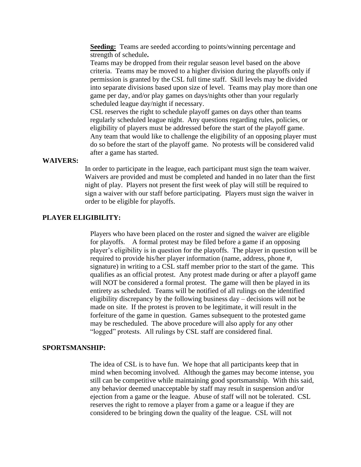**Seeding:** Teams are seeded according to points/winning percentage and strength of schedule**.** 

Teams may be dropped from their regular season level based on the above criteria. Teams may be moved to a higher division during the playoffs only if permission is granted by the CSL full time staff. Skill levels may be divided into separate divisions based upon size of level. Teams may play more than one game per day, and/or play games on days/nights other than your regularly scheduled league day/night if necessary.

CSL reserves the right to schedule playoff games on days other than teams regularly scheduled league night. Any questions regarding rules, policies, or eligibility of players must be addressed before the start of the playoff game. Any team that would like to challenge the eligibility of an opposing player must do so before the start of the playoff game. No protests will be considered valid after a game has started.

#### **WAIVERS:**

In order to participate in the league, each participant must sign the team waiver. Waivers are provided and must be completed and handed in no later than the first night of play. Players not present the first week of play will still be required to sign a waiver with our staff before participating. Players must sign the waiver in order to be eligible for playoffs.

### **PLAYER ELIGIBILITY:**

Players who have been placed on the roster and signed the waiver are eligible for playoffs. A formal protest may be filed before a game if an opposing player's eligibility is in question for the playoffs. The player in question will be required to provide his/her player information (name, address, phone #, signature) in writing to a CSL staff member prior to the start of the game. This qualifies as an official protest. Any protest made during or after a playoff game will NOT be considered a formal protest. The game will then be played in its entirety as scheduled. Teams will be notified of all rulings on the identified eligibility discrepancy by the following business day – decisions will not be made on site. If the protest is proven to be legitimate, it will result in the forfeiture of the game in question. Games subsequent to the protested game may be rescheduled. The above procedure will also apply for any other "logged" protests. All rulings by CSL staff are considered final.

#### **SPORTSMANSHIP:**

The idea of CSL is to have fun. We hope that all participants keep that in mind when becoming involved. Although the games may become intense, you still can be competitive while maintaining good sportsmanship. With this said, any behavior deemed unacceptable by staff may result in suspension and/or ejection from a game or the league. Abuse of staff will not be tolerated. CSL reserves the right to remove a player from a game or a league if they are considered to be bringing down the quality of the league. CSL will not